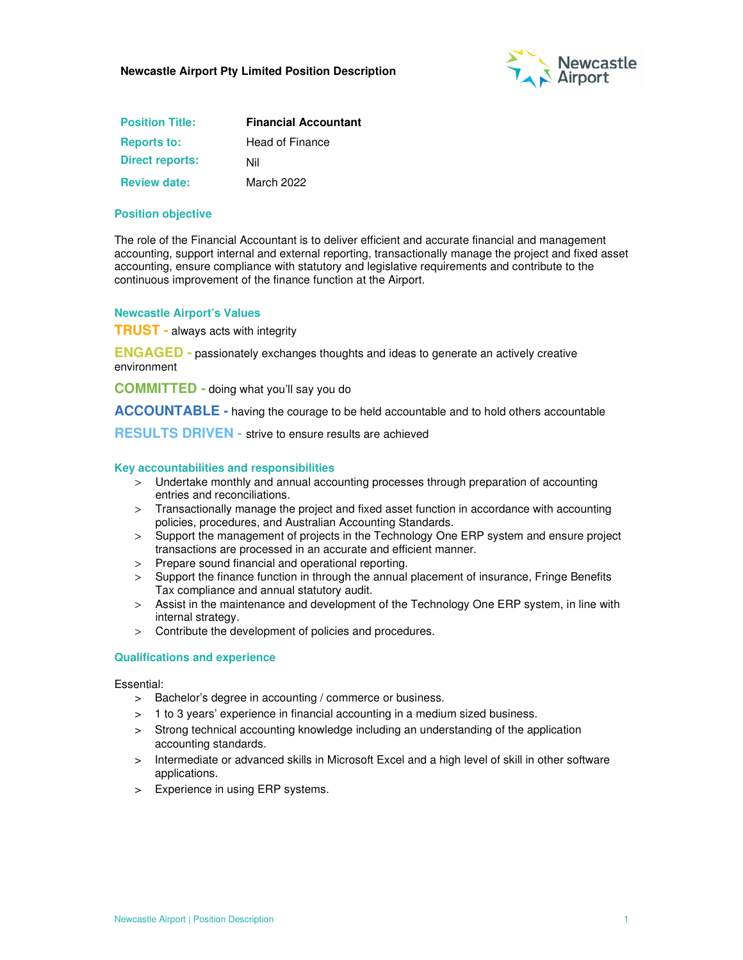

| <b>Position Title:</b> | <b>Financial Accountant</b> |
|------------------------|-----------------------------|
| <b>Reports to:</b>     | <b>Head of Finance</b>      |
| <b>Direct reports:</b> | Nil                         |
| <b>Review date:</b>    | March 2022                  |

### **Position objective**

The role of the Financial Accountant is to deliver efficient and accurate financial and management accounting, support internal and external reporting, transactionally manage the project and fixed asset accounting, ensure compliance with statutory and legislative requirements and contribute to the continuous improvement of the finance function at the Airport.

#### **Newcastle Airport's Values**

**TRUST -** always acts with integrity

**ENGAGED -** passionately exchanges thoughts and ideas to generate an actively creative environment

**COMMITTED -** doing what you'll say you do

**ACCOUNTABLE -** having the courage to be held accountable and to hold others accountable

**RESULTS DRIVEN -** strive to ensure results are achieved

#### **Key accountabilities and responsibilities**

- > Undertake monthly and annual accounting processes through preparation of accounting entries and reconciliations.
- > Transactionally manage the project and fixed asset function in accordance with accounting policies, procedures, and Australian Accounting Standards.
- > Support the management of projects in the Technology One ERP system and ensure project transactions are processed in an accurate and efficient manner.
- > Prepare sound financial and operational reporting.
- > Support the finance function in through the annual placement of insurance, Fringe Benefits Tax compliance and annual statutory audit.
- > Assist in the maintenance and development of the Technology One ERP system, in line with internal strategy.
- > Contribute the development of policies and procedures.

#### **Qualifications and experience**

Essential:

- > Bachelor's degree in accounting / commerce or business.
- > 1 to 3 years' experience in financial accounting in a medium sized business.
- > Strong technical accounting knowledge including an understanding of the application accounting standards.
- > Intermediate or advanced skills in Microsoft Excel and a high level of skill in other software applications.
- Experience in using ERP systems.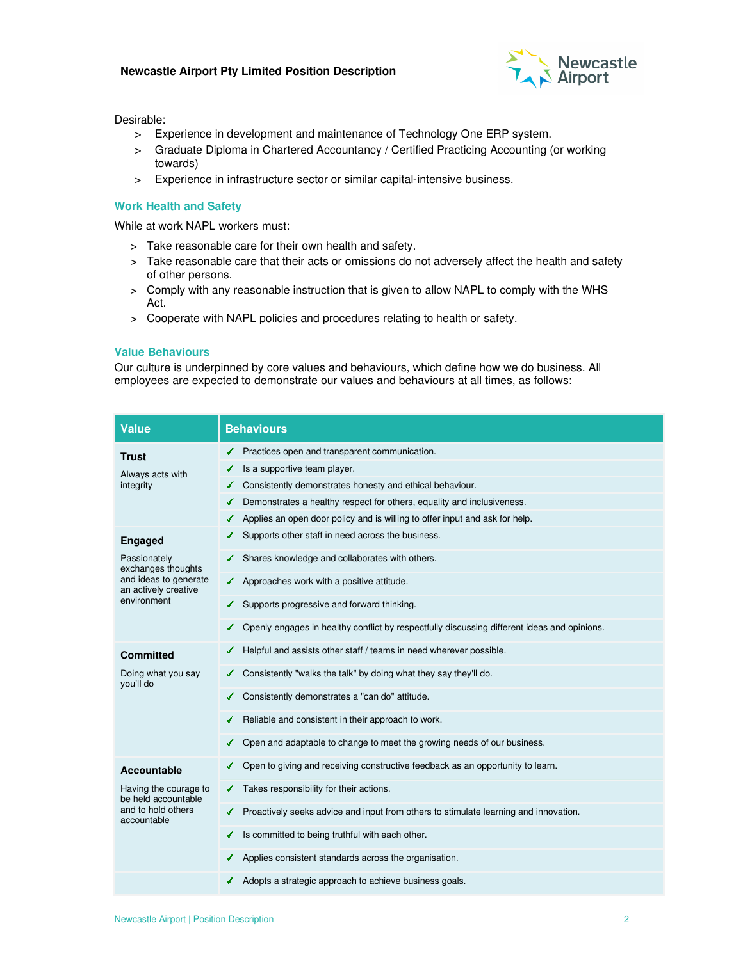### **Newcastle Airport Pty Limited Position Description**



Desirable:

- > Experience in development and maintenance of Technology One ERP system.
- > Graduate Diploma in Chartered Accountancy / Certified Practicing Accounting (or working towards)
- > Experience in infrastructure sector or similar capital-intensive business.

### **Work Health and Safety**

While at work NAPL workers must:

- > Take reasonable care for their own health and safety.
- > Take reasonable care that their acts or omissions do not adversely affect the health and safety of other persons.
- > Comply with any reasonable instruction that is given to allow NAPL to comply with the WHS Act.
- > Cooperate with NAPL policies and procedures relating to health or safety.

### **Value Behaviours**

Our culture is underpinned by core values and behaviours, which define how we do business. All employees are expected to demonstrate our values and behaviours at all times, as follows:

| Value                                                                                                                | <b>Behaviours</b>                                                                                |
|----------------------------------------------------------------------------------------------------------------------|--------------------------------------------------------------------------------------------------|
| Trust<br>Always acts with<br>integrity                                                                               | Practices open and transparent communication.                                                    |
|                                                                                                                      | Is a supportive team player.<br>✔                                                                |
|                                                                                                                      | Consistently demonstrates honesty and ethical behaviour.                                         |
|                                                                                                                      | Demonstrates a healthy respect for others, equality and inclusiveness.<br>✔                      |
|                                                                                                                      | Applies an open door policy and is willing to offer input and ask for help.                      |
| <b>Engaged</b><br>Passionately<br>exchanges thoughts<br>and ideas to generate<br>an actively creative<br>environment | Supports other staff in need across the business.                                                |
|                                                                                                                      | Shares knowledge and collaborates with others.                                                   |
|                                                                                                                      | Approaches work with a positive attitude.<br>✔                                                   |
|                                                                                                                      | Supports progressive and forward thinking.                                                       |
|                                                                                                                      | Openly engages in healthy conflict by respectfully discussing different ideas and opinions.<br>✔ |
| <b>Committed</b><br>Doing what you say<br>you'll do                                                                  | Helpful and assists other staff / teams in need wherever possible.                               |
|                                                                                                                      | Consistently "walks the talk" by doing what they say they'll do.                                 |
|                                                                                                                      | Consistently demonstrates a "can do" attitude.                                                   |
|                                                                                                                      | Reliable and consistent in their approach to work.                                               |
|                                                                                                                      | Open and adaptable to change to meet the growing needs of our business.<br>✔                     |
| <b>Accountable</b><br>Having the courage to<br>be held accountable<br>and to hold others<br>accountable              | Open to giving and receiving constructive feedback as an opportunity to learn.                   |
|                                                                                                                      | Takes responsibility for their actions.<br>✔                                                     |
|                                                                                                                      | Proactively seeks advice and input from others to stimulate learning and innovation.<br>✔        |
|                                                                                                                      | Is committed to being truthful with each other.<br>✔                                             |
|                                                                                                                      | Applies consistent standards across the organisation.                                            |
|                                                                                                                      | ← Adopts a strategic approach to achieve business goals.                                         |
|                                                                                                                      |                                                                                                  |